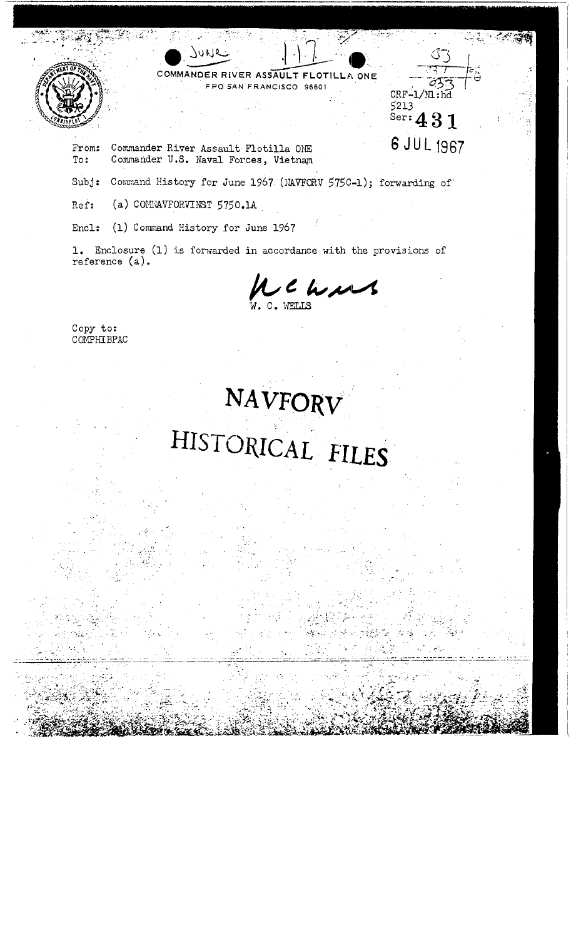

COMMANDER RIVER ASSAULT FLOTILLA ONE FPO SAN FRANCISCO 96601

From: Commander River Assault Flotilla ONE Commander U.S. Naval Forces, Vietnam To:

JUNQ

Subj: Command History for June 1967 (NAVFORV 575C-1); forwarding of

(a) COMMAVFORVINST 5750.1A Ref:

Encl: (1) Command History for June 1967

1. Enclosure (1) is forwarded in accordance with the provisions of reference (a).

LC h,

 $\mathcal{C}^-$ 

بملاتة

 $CRF-1/M:nd$ 

 $s$ er: 431

6 JUL 1967

5213

Copy to: COMPHIBPAC

## NAVFORV HISTORICAL FILES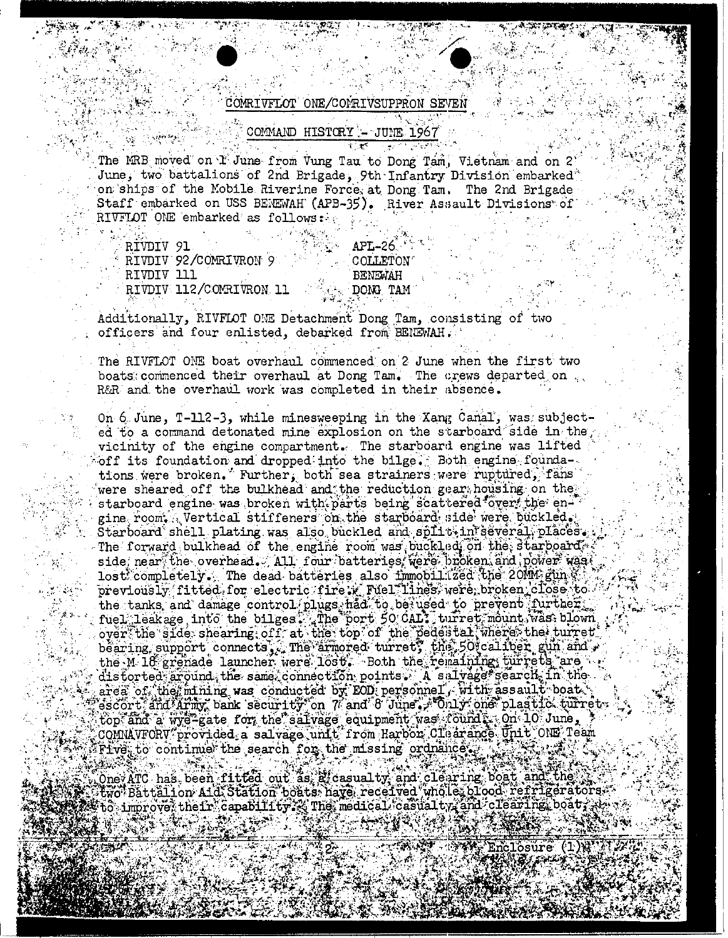## COMRIVFLOT ONE/COMRIVSUPPRON SEVEN

## COMMAND HISTORY - JUNE 1967

The MRB moved on I June from Vung Tau to Dong Tam, Vietnam and on 2 June, two battalions of 2nd Brigade, 9th Infantry Division embarked" on ships of the Mobile Riverine Force, at Dong Tam. The 2nd Brigade Staff embarked on USS BENEWAH (APB-35). River Assault Divisions of RIVFLOT ONE embarked as follows:

RIVDIV 91 RIVDIV 92/COMRIVRON 9 RIVDIV 111 RIVDIV 112/COMRIVRON 11

## **APL-26** COLLETON **BENEWAH** DONG TAM

Additionally, RIVFLOT ONE Detachment Dong Tam, consisting of two officers and four enlisted, debarked from BENEWAH.

The RIVFLOT ONE boat overhaul commenced on 2 June when the first two boats commenced their overhaul at Dong Tam. The crews departed on R&R and the overhaul work was completed in their absence.

On 6 June, T-112-3, while minesweeping in the Xang Canal, was subjected to a command detonated mine explosion on the starboard side in the vicinity of the engine compartment. The starboard engine was lifted off its foundation and dropped into the bilge. Both engine foundations were broken. Further, both sea strainers were ruptured, fans were sheared off the bulkhead and the reduction gear housing on the starboard engine was broken with parts being scattered fover, the engine room. Vertical stiffeners on the starboard side were buckled. Starboard shell plating was also buckled and split-in several places. The forward bulkhead of the engine room was buckled on the starboard, side, near, the overhead. All four batteries, were broken and power was lost completely. The dead batteries also immobilized the 20MM gin to previously fitted for electric fire w Fuel lines were broken close to the tanks and damage control plugs had to be used to prevent further. fuel leakage, into the bilges. The port 50 days turret mount was, blown over the side shearing off at the top of the pedestal where the turret bearing support connects, The armored turnet, the 50 califort gun and  $\cdot$ the M 18 grenade launcher were lost. Both the remaining turrets are distorted around the same connection points. A sulvage search in the area of the finining was conducted by EOD personnel, with assault boat. escort and Army bank security on 7 and 8 June , "Only one"plastic turnet.<br>top and a wye-gate for the salvage equipment was cound in Qui-10 June, COMMAVFORV provided a salvage unit from Harbor Clearance Unit ONE Team  $\mathbb{F}$  rive, to continue the search for the missing ordnance  $\mathbb{F}$ 

Oney ATC has been fitted out as a casual ty and clearing boat and the Fwo Battalion Aid Station boats have received who le blood refrigerators.  $\mathbb{F}$  to improve their capability. Ine medical casual ty and clearing boat,  $\mathbb{F}$ 

nclosure (1))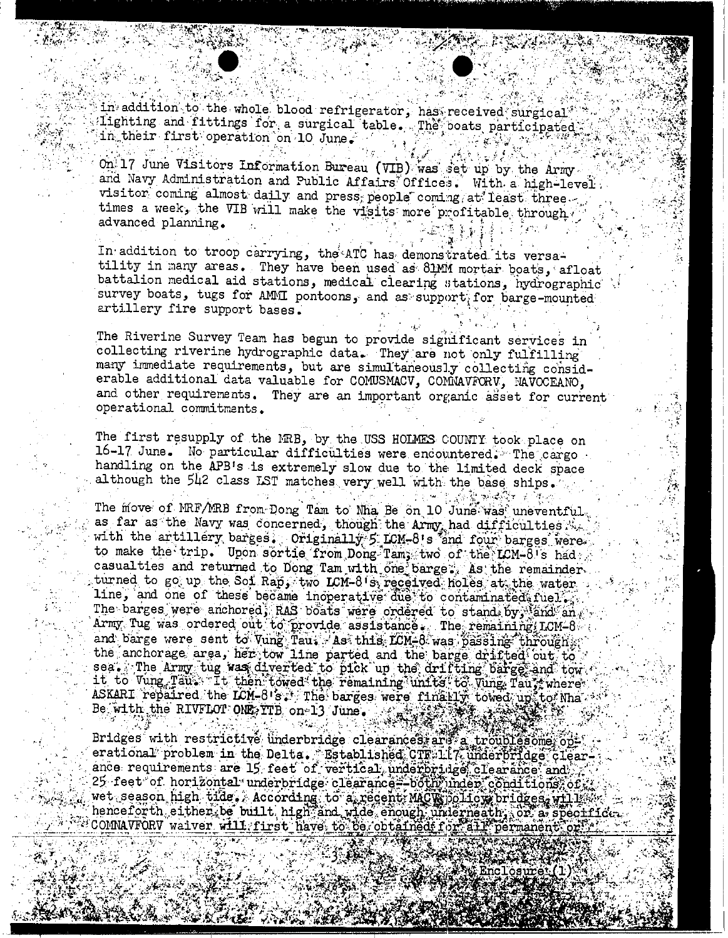in addition to the whole blood refrigerator, has received surgical Lighting and fittings for a surgical table. The boats participated in their first operation on 10 June.

On 17 June Visitors Information Bureau (VIB) was set up by the Army and Navy Administration and Public Affairs Offices. With a high-level: visitor coming almost daily and press, people coming at least three. times a week, the VIB will make the visits more profitable through. advanced planning.

In addition to troop carrying, the ATC has demonstrated its versatility in many areas. They have been used as 81MM mortar boats, afloat battalion medical aid stations, medical clearing stations, hydrographic survey boats, tugs for AMMI pontoons, and as support for barge-mounted artillery fire support bases.

The Riverine Survey Team has begun to provide significant services in collecting riverine hydrographic data. They are not only fulfilling many immediate requirements, but are simultaneously collecting considerable additional data valuable for COMUSMACV, COMMAVFORV, MAVOCEANO, and other requirements. They are an important organic asset for current operational commitments.

The first resupply of the MRB, by the USS HOLMES COUNTY took place on 16-17 June. No particular difficulties were encountered. The cargo handling on the APB's is extremely slow due to the limited deck space although the 542 class LST matches very well with the base ships.

The move of MRF/MRB from Dong Tam to Nha Be on 10 June was uneventful as far as the Navy was concerned, though the Army had difficulties with the artillery barges. Originally 5 LCM-8's and four barges were. to make the trip. Upon sortie from Dong Tam; two of the LCM-8's had, casualties and returned to Dong Tam with one barge . As the remainder turned to go up the Soi Rap, two LCM-8 s received holes at the water line, and one of these became inoperative due to contaminated fuel. The barges were anchored, RAS boats were ordered to stand by land an Army Tug was ordered out to provide assistance. The remaining LCM-8 and barge were sent to Vung Tau. As this ICM-8 was passing through the anchorage area, her tow line parted and the barge drifted out to sea. The Army tug was diverted to pick up the drifting barge and tow it to Vung Taus. It then towed the remaining units to Vung Taus where ASKARI repaired the LCM-8's is The barges were finally towed up to Nha Be with the RIVFLOT ONE YTB on 13 June. 羽製葉

Bridges with restrictive underbridge clearances, are a troublesome operational problem in the Delta. Established CTF. 117 underbridge clearance requirements are 15 feet of vertical underbridge clearance and 25 feet of horizontal underbridge clearance -bothyunder conditions, of wet season high tide. According to a recent MACWDolic worldges, will let henceforth either be built high<sup>3</sup>and wide enough underneath . Or a specific .<br>COMNAVFORV waiver will first have to be obtained: for all permanent or: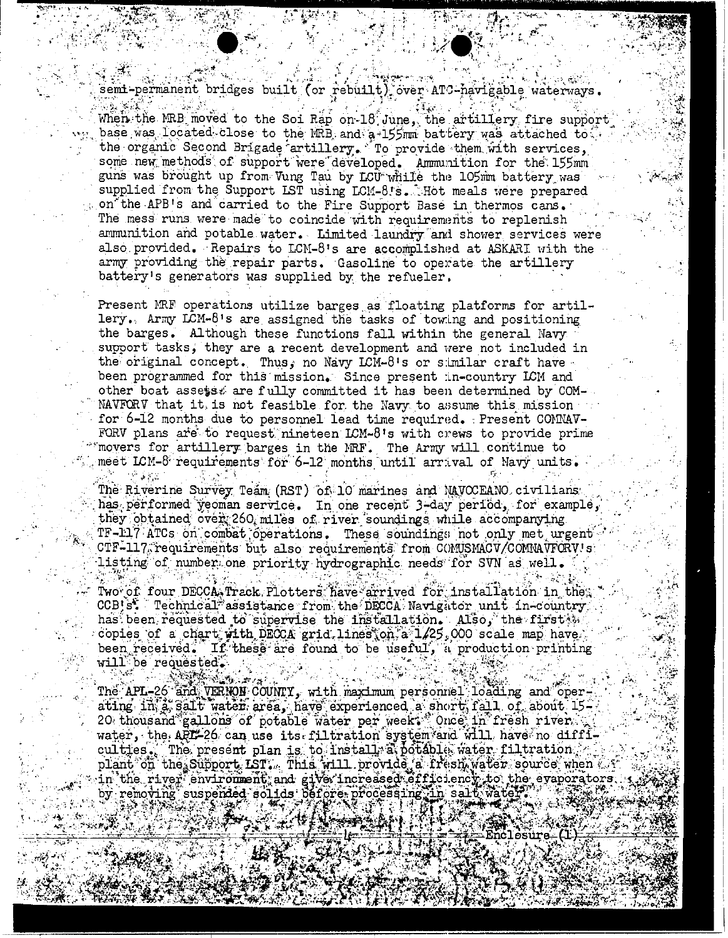semi-permanent bridges built (or rebuilt) over ATC-navigable waterways.

 $\chi \times \mathcal{X} \subset \mathbb{R}^3$ 

矿金黄金

When the MRB moved to the Soi Rap on 18 June, the artillery fire support base was located close to the MRB and a 155mm battery was attached to: the organic Second Brigade artillery. To provide them with services, some new methods of support were developed. Ammunition for the 155mm guns was brought up from Vung Tau by LCU while the 105mm battery was supplied from the Support LST using LCM-8.s. Hot meals were prepared on the APB's and carried to the Fire Support Base in thermos cans. The mess runs were made to coincide with requirements to replenish ammunition and potable water. Limited laundry and shower services were also provided. Repairs to LCM-8's are accomplished at ASKARI with the army providing the repair parts. Gasoline to operate the artillery battery's generators was supplied by the refueler.

Present MRF operations utilize barges as floating platforms for artillery. Army LCM-8's are assigned the tasks of towing and positioning the barges. Although these functions fall within the general Navy support tasks, they are a recent development and were not included in the original concept. Thus, no Navy ICM-8's or similar craft have been programmed for this mission. Since present in-country LCM and other boat assets. are fully committed it has been determined by COM-NAVFORV that it is not feasible for the Navy to assume this mission for 6-12 months due to personnel lead time required. Present COMNAV-FORV plans are to request nineteen LCM-8's with crews to provide prime movers for artillery barges in the MRF. The Army will continue to meet LCM-8 requirements for 6-12 months until arrival of Navy units.

The Riverine Survey Team (RST) of 10 marines and NAVOCEANO civilians has performed yeoman service. In one recent 3-day period, for example, they obtained over 260 miles of river soundings while accompanying TF-117 ATCs on combat operations. These soundings not only met urgent CTF-117 requirements but also requirements from COMUSMACV/COMMAVFORV's listing of number one priority hydrographic needs for SVN as well.

Two of four DECCA, Track Plotters have arrived for installation in the CCB's. Technical assistance from the DECCA Navigator unit in-country has been requested to supervise the installation. Also, the first we copies of a chart with DECCA grid lines on a 1/25,000 scale map have been received. If these are found to be useful, a production printing will be requested.

The APL-26 and VERNON COUNTY, with maximum personnel loading and operating in a sait water area, have experienced a short fall of about 15-<br>20 thousand gallons of potable water per weeks once in fresh river. water, the API-26 can use its filtration system and will have no difficulties. The present plan is to install a potable water filtration. plant on the Support IST. This will provide a fresh water source when  $\ell$ in the river environment and give increased efficiency to the evaporators by removing suspended solids before processing in salt